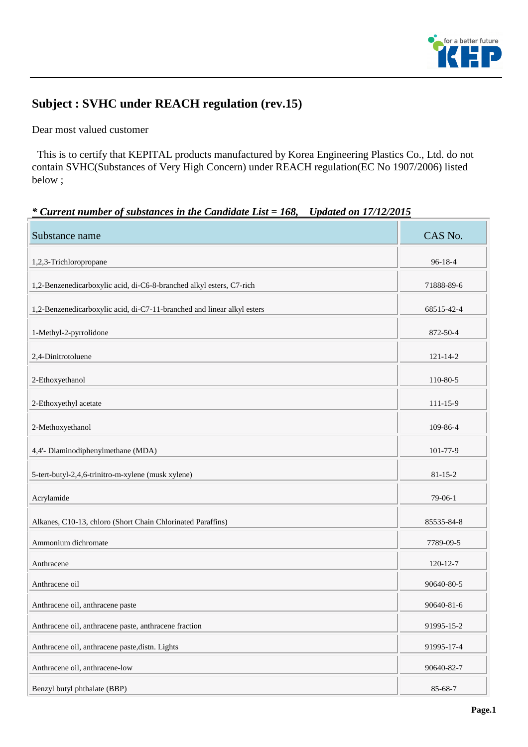

## **Subject : SVHC under REACH regulation (rev.15)**

Dear most valued customer

 This is to certify that KEPITAL products manufactured by Korea Engineering Plastics Co., Ltd. do not contain SVHC(Substances of Very High Concern) under REACH regulation(EC No 1907/2006) listed below ;

## *\* Current number of substances in the Candidate List = 168, Updated on 17/12/2015*

| Substance name                                                          | CAS No.        |
|-------------------------------------------------------------------------|----------------|
| 1,2,3-Trichloropropane                                                  | 96-18-4        |
| 1,2-Benzenedicarboxylic acid, di-C6-8-branched alkyl esters, C7-rich    | 71888-89-6     |
| 1,2-Benzenedicarboxylic acid, di-C7-11-branched and linear alkyl esters | 68515-42-4     |
| 1-Methyl-2-pyrrolidone                                                  | 872-50-4       |
| 2,4-Dinitrotoluene                                                      | $121 - 14 - 2$ |
| 2-Ethoxyethanol                                                         | 110-80-5       |
| 2-Ethoxyethyl acetate                                                   | $111 - 15 - 9$ |
| 2-Methoxyethanol                                                        | 109-86-4       |
| 4,4'- Diaminodiphenylmethane (MDA)                                      | 101-77-9       |
| 5-tert-butyl-2,4,6-trinitro-m-xylene (musk xylene)                      | $81 - 15 - 2$  |
| Acrylamide                                                              | $79-06-1$      |
| Alkanes, C10-13, chloro (Short Chain Chlorinated Paraffins)             | 85535-84-8     |
| Ammonium dichromate                                                     | 7789-09-5      |
| Anthracene                                                              | 120-12-7       |
| Anthracene oil                                                          | 90640-80-5     |
| Anthracene oil, anthracene paste                                        | 90640-81-6     |
| Anthracene oil, anthracene paste, anthracene fraction                   | 91995-15-2     |
| Anthracene oil, anthracene paste, distn. Lights                         | 91995-17-4     |
| Anthracene oil, anthracene-low                                          | 90640-82-7     |
| Benzyl butyl phthalate (BBP)                                            | 85-68-7        |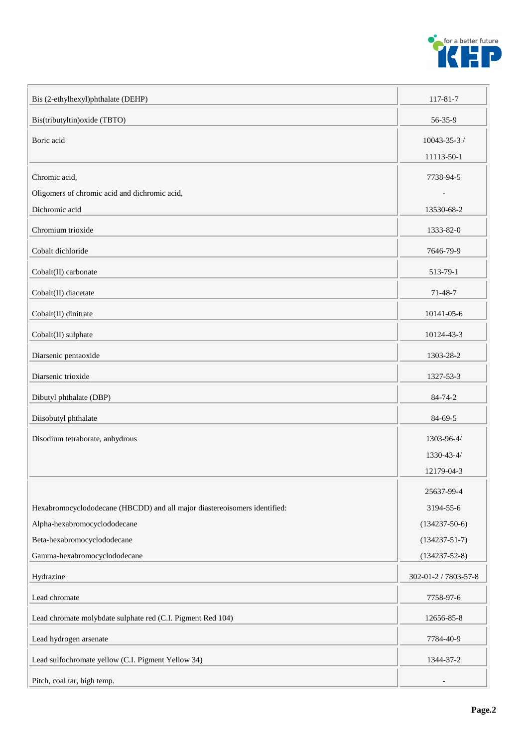

| Bis (2-ethylhexyl)phthalate (DEHP)                                        | 117-81-7                   |
|---------------------------------------------------------------------------|----------------------------|
| Bis(tributyltin) oxide (TBTO)                                             | 56-35-9                    |
| Boric acid                                                                | 10043-35-3 /<br>11113-50-1 |
| Chromic acid,                                                             | 7738-94-5                  |
| Oligomers of chromic acid and dichromic acid,                             |                            |
| Dichromic acid                                                            | 13530-68-2                 |
| Chromium trioxide                                                         | 1333-82-0                  |
| Cobalt dichloride                                                         | 7646-79-9                  |
| Cobalt(II) carbonate                                                      | 513-79-1                   |
| Cobalt(II) diacetate                                                      | 71-48-7                    |
| Cobalt(II) dinitrate                                                      | 10141-05-6                 |
| Cobalt(II) sulphate                                                       | 10124-43-3                 |
| Diarsenic pentaoxide                                                      | 1303-28-2                  |
| Diarsenic trioxide                                                        | 1327-53-3                  |
| Dibutyl phthalate (DBP)                                                   | 84-74-2                    |
| Diisobutyl phthalate                                                      | 84-69-5                    |
| Disodium tetraborate, anhydrous                                           | 1303-96-4/                 |
|                                                                           | 1330-43-4/                 |
|                                                                           | 12179-04-3                 |
|                                                                           | 25637-99-4                 |
| Hexabromocyclododecane (HBCDD) and all major diastereoisomers identified: | 3194-55-6                  |
| Alpha-hexabromocyclododecane                                              | $(134237-50-6)$            |
| Beta-hexabromocyclododecane                                               | $(134237 - 51 - 7)$        |
| Gamma-hexabromocyclododecane                                              | $(134237 - 52 - 8)$        |
| Hydrazine                                                                 | 302-01-2 / 7803-57-8       |
| Lead chromate                                                             | 7758-97-6                  |
| Lead chromate molybdate sulphate red (C.I. Pigment Red 104)               | 12656-85-8                 |
| Lead hydrogen arsenate                                                    | 7784-40-9                  |
| Lead sulfochromate yellow (C.I. Pigment Yellow 34)                        | 1344-37-2                  |
| Pitch, coal tar, high temp.                                               |                            |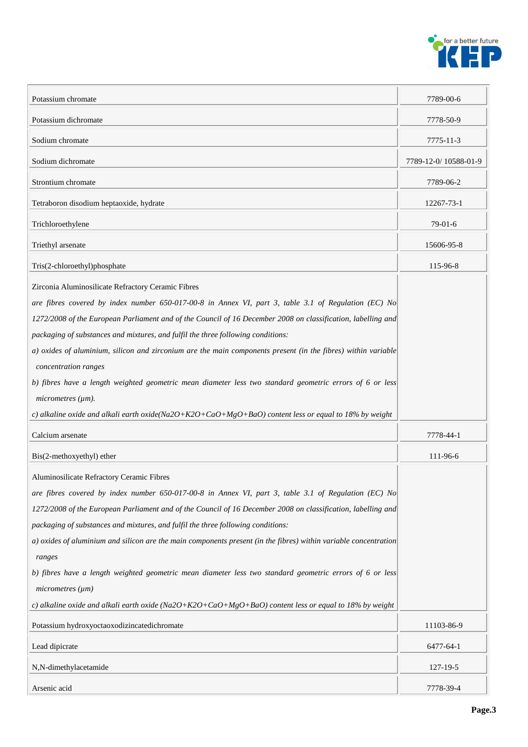

| Potassium chromate                                                                                                         | 7789-00-6            |
|----------------------------------------------------------------------------------------------------------------------------|----------------------|
| Potassium dichromate                                                                                                       | 7778-50-9            |
| Sodium chromate                                                                                                            | 7775-11-3            |
| Sodium dichromate                                                                                                          | 7789-12-0/10588-01-9 |
| Strontium chromate                                                                                                         | 7789-06-2            |
| Tetraboron disodium heptaoxide, hydrate                                                                                    | 12267-73-1           |
| Trichloroethylene                                                                                                          | 79-01-6              |
| Triethyl arsenate                                                                                                          | 15606-95-8           |
| Tris(2-chloroethyl)phosphate                                                                                               | 115-96-8             |
| Zirconia Aluminosilicate Refractory Ceramic Fibres                                                                         |                      |
| are fibres covered by index number 650-017-00-8 in Annex VI, part 3, table 3.1 of Regulation (EC) No                       |                      |
| 1272/2008 of the European Parliament and of the Council of 16 December 2008 on classification, labelling and               |                      |
| packaging of substances and mixtures, and fulfil the three following conditions:                                           |                      |
| a) oxides of aluminium, silicon and zirconium are the main components present (in the fibres) within variable              |                      |
| concentration ranges                                                                                                       |                      |
| b) fibres have a length weighted geometric mean diameter less two standard geometric errors of 6 or less                   |                      |
| micrometers (µm).                                                                                                          |                      |
| c) alkaline oxide and alkali earth oxide(Na2O+K2O+CaO+MgO+BaO) content less or equal to 18% by weight                      |                      |
| Calcium arsenate                                                                                                           | 7778-44-1            |
|                                                                                                                            | 111-96-6             |
| Bis(2-methoxyethyl) ether                                                                                                  |                      |
| Aluminosilicate Refractory Ceramic Fibres                                                                                  |                      |
| are fibres covered by index number 650-017-00-8 in Annex VI, part 3, table 3.1 of Regulation (EC) No                       |                      |
| 1272/2008 of the European Parliament and of the Council of 16 December 2008 on classification, labelling and               |                      |
| packaging of substances and mixtures, and fulfil the three following conditions:                                           |                      |
| a) oxides of aluminium and silicon are the main components present (in the fibres) within variable concentration<br>ranges |                      |
| b) fibres have a length weighted geometric mean diameter less two standard geometric errors of 6 or less                   |                      |
| micrometers (µm)                                                                                                           |                      |
| c) alkaline oxide and alkali earth oxide (Na2O+K2O+CaO+MgO+BaO) content less or equal to 18% by weight                     |                      |
| Potassium hydroxyoctaoxodizincatedichromate                                                                                | 11103-86-9           |
| Lead dipicrate                                                                                                             | 6477-64-1            |
| N,N-dimethylacetamide                                                                                                      | 127-19-5             |
| Arsenic acid                                                                                                               | 7778-39-4            |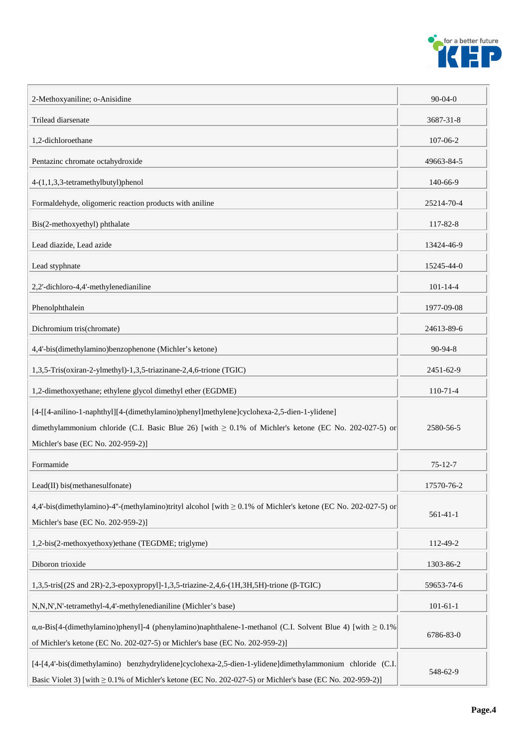

| 2-Methoxyaniline; o-Anisidine                                                                                                                                                                                                                   | $90-04-0$      |
|-------------------------------------------------------------------------------------------------------------------------------------------------------------------------------------------------------------------------------------------------|----------------|
| Trilead diarsenate                                                                                                                                                                                                                              | 3687-31-8      |
| 1.2-dichloroethane                                                                                                                                                                                                                              | 107-06-2       |
| Pentazinc chromate octahydroxide                                                                                                                                                                                                                | 49663-84-5     |
| 4-(1,1,3,3-tetramethylbutyl)phenol                                                                                                                                                                                                              | 140-66-9       |
| Formaldehyde, oligomeric reaction products with aniline                                                                                                                                                                                         | 25214-70-4     |
| Bis(2-methoxyethyl) phthalate                                                                                                                                                                                                                   | 117-82-8       |
| Lead diazide, Lead azide                                                                                                                                                                                                                        | 13424-46-9     |
| Lead styphnate                                                                                                                                                                                                                                  | 15245-44-0     |
| 2,2'-dichloro-4,4'-methylenedianiline                                                                                                                                                                                                           | $101 - 14 - 4$ |
| Phenolphthalein                                                                                                                                                                                                                                 | 1977-09-08     |
| Dichromium tris(chromate)                                                                                                                                                                                                                       | 24613-89-6     |
| 4,4'-bis(dimethylamino)benzophenone (Michler's ketone)                                                                                                                                                                                          | 90-94-8        |
| 1,3,5-Tris(oxiran-2-ylmethyl)-1,3,5-triazinane-2,4,6-trione (TGIC)                                                                                                                                                                              | 2451-62-9      |
| 1,2-dimethoxyethane; ethylene glycol dimethyl ether (EGDME)                                                                                                                                                                                     | $110-71-4$     |
| [4-[[4-anilino-1-naphthyl][4-(dimethylamino)phenyl]methylene]cyclohexa-2,5-dien-1-ylidene]<br>dimethylammonium chloride (C.I. Basic Blue 26) [with $\geq 0.1\%$ of Michler's ketone (EC No. 202-027-5) or<br>Michler's base (EC No. 202-959-2)] | 2580-56-5      |
| Formamide                                                                                                                                                                                                                                       | $75 - 12 - 7$  |
| Lead(II) bis(methanesulfonate)                                                                                                                                                                                                                  | 17570-76-2     |
| 4,4'-bis(dimethylamino)-4"-(methylamino)trityl alcohol [with $\geq$ 0.1% of Michler's ketone (EC No. 202-027-5) or<br>Michler's base (EC No. 202-959-2)]                                                                                        | $561 - 41 - 1$ |
| 1,2-bis(2-methoxyethoxy)ethane (TEGDME; triglyme)                                                                                                                                                                                               | 112-49-2       |
| Diboron trioxide                                                                                                                                                                                                                                | 1303-86-2      |
| 1,3,5-tris[(2S and 2R)-2,3-epoxypropyl]-1,3,5-triazine-2,4,6-(1H,3H,5H)-trione (β-TGIC)                                                                                                                                                         | 59653-74-6     |
| N,N,N',N'-tetramethyl-4,4'-methylenedianiline (Michler's base)                                                                                                                                                                                  | $101 - 61 - 1$ |
| $\alpha$ , $\alpha$ -Bis[4-(dimethylamino)phenyl]-4 (phenylamino)naphthalene-1-methanol (C.I. Solvent Blue 4) [with $\geq 0.1\%$<br>of Michler's ketone (EC No. 202-027-5) or Michler's base (EC No. 202-959-2)]                                | 6786-83-0      |
| [4-[4,4'-bis(dimethylamino) benzhydrylidene]cyclohexa-2,5-dien-1-ylidene]dimethylammonium chloride (C.I.<br>Basic Violet 3) [with $\geq$ 0.1% of Michler's ketone (EC No. 202-027-5) or Michler's base (EC No. 202-959-2)]                      | 548-62-9       |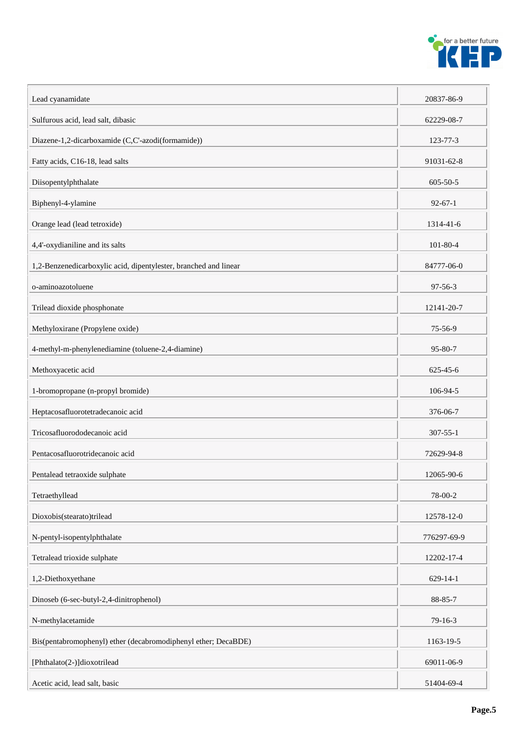

| Lead cyanamidate                                                 | 20837-86-9     |
|------------------------------------------------------------------|----------------|
| Sulfurous acid, lead salt, dibasic                               | 62229-08-7     |
| Diazene-1,2-dicarboxamide (C,C'-azodi(formamide))                | 123-77-3       |
| Fatty acids, C16-18, lead salts                                  | 91031-62-8     |
| Diisopentylphthalate                                             | $605 - 50 - 5$ |
| Biphenyl-4-ylamine                                               | $92 - 67 - 1$  |
| Orange lead (lead tetroxide)                                     | 1314-41-6      |
| 4,4'-oxydianiline and its salts                                  | $101 - 80 - 4$ |
| 1,2-Benzenedicarboxylic acid, dipentylester, branched and linear | 84777-06-0     |
| o-aminoazotoluene                                                | $97 - 56 - 3$  |
| Trilead dioxide phosphonate                                      | 12141-20-7     |
| Methyloxirane (Propylene oxide)                                  | 75-56-9        |
| 4-methyl-m-phenylenediamine (toluene-2,4-diamine)                | 95-80-7        |
| Methoxyacetic acid                                               | $625 - 45 - 6$ |
| 1-bromopropane (n-propyl bromide)                                | 106-94-5       |
| Heptacosafluorotetradecanoic acid                                | 376-06-7       |
| Tricosafluorododecanoic acid                                     | $307 - 55 - 1$ |
| Pentacosafluorotridecanoic acid                                  | 72629-94-8     |
| Pentalead tetraoxide sulphate                                    | 12065-90-6     |
| Tetraethyllead                                                   | 78-00-2        |
| Dioxobis(stearato)trilead                                        | 12578-12-0     |
| N-pentyl-isopentylphthalate                                      | 776297-69-9    |
| Tetralead trioxide sulphate                                      | 12202-17-4     |
| 1,2-Diethoxyethane                                               | 629-14-1       |
| Dinoseb (6-sec-butyl-2,4-dinitrophenol)                          | 88-85-7        |
| N-methylacetamide                                                | 79-16-3        |
| Bis(pentabromophenyl) ether (decabromodiphenyl ether; DecaBDE)   | 1163-19-5      |
| [Phthalato(2-)]dioxotrilead                                      | 69011-06-9     |
| Acetic acid, lead salt, basic                                    | 51404-69-4     |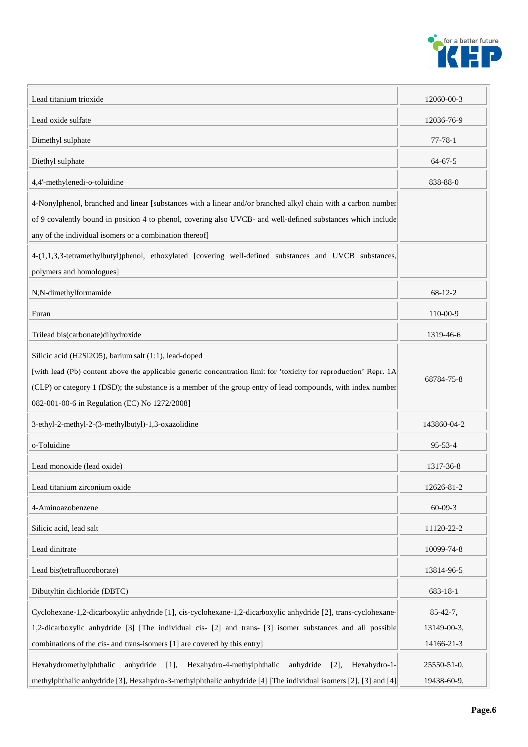

| Lead titanium trioxide                                                                                                                                                                                                                                                                                                                      | 12060-00-3                              |
|---------------------------------------------------------------------------------------------------------------------------------------------------------------------------------------------------------------------------------------------------------------------------------------------------------------------------------------------|-----------------------------------------|
| Lead oxide sulfate                                                                                                                                                                                                                                                                                                                          | 12036-76-9                              |
| Dimethyl sulphate                                                                                                                                                                                                                                                                                                                           | $77 - 78 - 1$                           |
| Diethyl sulphate                                                                                                                                                                                                                                                                                                                            | $64 - 67 - 5$                           |
| 4,4'-methylenedi-o-toluidine                                                                                                                                                                                                                                                                                                                | 838-88-0                                |
| 4-Nonylphenol, branched and linear [substances with a linear and/or branched alkyl chain with a carbon number<br>of 9 covalently bound in position 4 to phenol, covering also UVCB- and well-defined substances which include<br>any of the individual isomers or a combination thereof]                                                    |                                         |
| 4-(1,1,3,3-tetramethylbutyl)phenol, ethoxylated [covering well-defined substances and UVCB substances,<br>polymers and homologues]                                                                                                                                                                                                          |                                         |
| N,N-dimethylformamide                                                                                                                                                                                                                                                                                                                       | 68-12-2                                 |
| Furan                                                                                                                                                                                                                                                                                                                                       | 110-00-9                                |
| Trilead bis(carbonate)dihydroxide                                                                                                                                                                                                                                                                                                           | 1319-46-6                               |
| Silicic acid (H2Si2O5), barium salt (1:1), lead-doped<br>[with lead (Pb) content above the applicable generic concentration limit for 'toxicity for reproduction' Repr. 1A<br>(CLP) or category 1 (DSD); the substance is a member of the group entry of lead compounds, with index number<br>082-001-00-6 in Regulation (EC) No 1272/2008] | 68784-75-8                              |
| 3-ethyl-2-methyl-2-(3-methylbutyl)-1,3-oxazolidine                                                                                                                                                                                                                                                                                          | 143860-04-2                             |
| o-Toluidine                                                                                                                                                                                                                                                                                                                                 | $95 - 53 - 4$                           |
| Lead monoxide (lead oxide)                                                                                                                                                                                                                                                                                                                  | 1317-36-8                               |
| Lead titanium zirconium oxide                                                                                                                                                                                                                                                                                                               | 12626-81-2                              |
| 4-Aminoazobenzene                                                                                                                                                                                                                                                                                                                           | $60 - 09 - 3$                           |
| Silicic acid, lead salt                                                                                                                                                                                                                                                                                                                     | 11120-22-2                              |
| Lead dinitrate                                                                                                                                                                                                                                                                                                                              | 10099-74-8                              |
| Lead bis(tetrafluoroborate)                                                                                                                                                                                                                                                                                                                 | 13814-96-5                              |
| Dibutyltin dichloride (DBTC)                                                                                                                                                                                                                                                                                                                | 683-18-1                                |
| Cyclohexane-1,2-dicarboxylic anhydride [1], cis-cyclohexane-1,2-dicarboxylic anhydride [2], trans-cyclohexane-<br>1,2-dicarboxylic anhydride [3] [The individual cis- [2] and trans- [3] isomer substances and all possible<br>combinations of the cis- and trans-isomers [1] are covered by this entry]                                    | $85-42-7,$<br>13149-00-3,<br>14166-21-3 |
| anhydride<br>Hexahydro-4-methylphthalic<br>anhydride<br>Hexahydromethylphthalic<br>$[1]$ ,<br>[2]<br>Hexahydro-1-<br>methylphthalic anhydride [3], Hexahydro-3-methylphthalic anhydride [4] [The individual isomers [2], [3] and [4]                                                                                                        | 25550-51-0,<br>19438-60-9,              |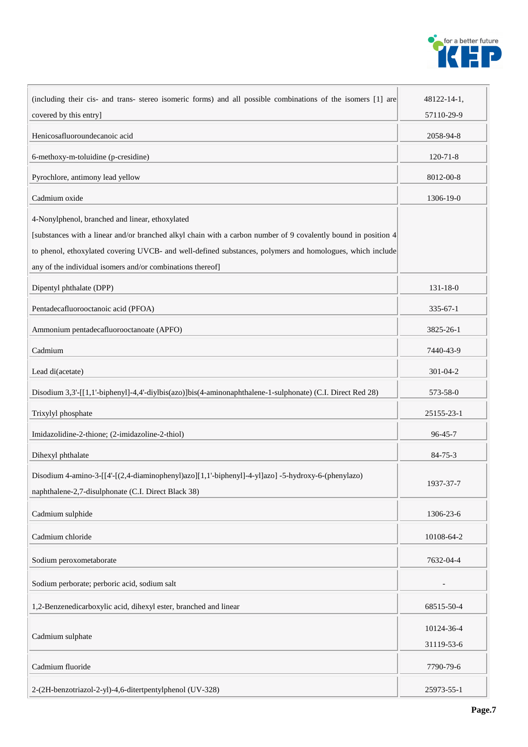

| (including their cis- and trans- stereo isomeric forms) and all possible combinations of the isomers [1] are                                              | 48122-14-1,    |
|-----------------------------------------------------------------------------------------------------------------------------------------------------------|----------------|
| covered by this entry]                                                                                                                                    | 57110-29-9     |
| Henicosafluoroundecanoic acid                                                                                                                             | 2058-94-8      |
| 6-methoxy-m-toluidine (p-cresidine)                                                                                                                       | $120 - 71 - 8$ |
| Pyrochlore, antimony lead yellow                                                                                                                          | 8012-00-8      |
| Cadmium oxide                                                                                                                                             | 1306-19-0      |
| 4-Nonylphenol, branched and linear, ethoxylated                                                                                                           |                |
| [substances with a linear and/or branched alkyl chain with a carbon number of 9 covalently bound in position 4                                            |                |
| to phenol, ethoxylated covering UVCB- and well-defined substances, polymers and homologues, which include                                                 |                |
| any of the individual isomers and/or combinations thereof]                                                                                                |                |
| Dipentyl phthalate (DPP)                                                                                                                                  | $131 - 18 - 0$ |
| Pentadecafluorooctanoic acid (PFOA)                                                                                                                       | $335 - 67 - 1$ |
| Ammonium pentadecafluorooctanoate (APFO)                                                                                                                  | 3825-26-1      |
| Cadmium                                                                                                                                                   | 7440-43-9      |
| Lead di(acetate)                                                                                                                                          | $301 - 04 - 2$ |
| Disodium 3,3'-[[1,1'-biphenyl]-4,4'-diylbis(azo)]bis(4-aminonaphthalene-1-sulphonate) (C.I. Direct Red 28)                                                | 573-58-0       |
| Trixylyl phosphate                                                                                                                                        | 25155-23-1     |
| Imidazolidine-2-thione; (2-imidazoline-2-thiol)                                                                                                           | $96 - 45 - 7$  |
| Dihexyl phthalate                                                                                                                                         | $84 - 75 - 3$  |
| Disodium 4-amino-3-[[4'-[(2,4-diaminophenyl)azo][1,1'-biphenyl]-4-yl]azo] -5-hydroxy-6-(phenylazo)<br>naphthalene-2,7-disulphonate (C.I. Direct Black 38) | 1937-37-7      |
| Cadmium sulphide                                                                                                                                          | 1306-23-6      |
| Cadmium chloride                                                                                                                                          | 10108-64-2     |
| Sodium peroxometaborate                                                                                                                                   | 7632-04-4      |
| Sodium perborate; perboric acid, sodium salt                                                                                                              |                |
| 1,2-Benzenedicarboxylic acid, dihexyl ester, branched and linear                                                                                          | 68515-50-4     |
|                                                                                                                                                           | 10124-36-4     |
| Cadmium sulphate                                                                                                                                          | 31119-53-6     |
| Cadmium fluoride                                                                                                                                          | 7790-79-6      |
| 2-(2H-benzotriazol-2-yl)-4,6-ditertpentylphenol (UV-328)                                                                                                  | 25973-55-1     |